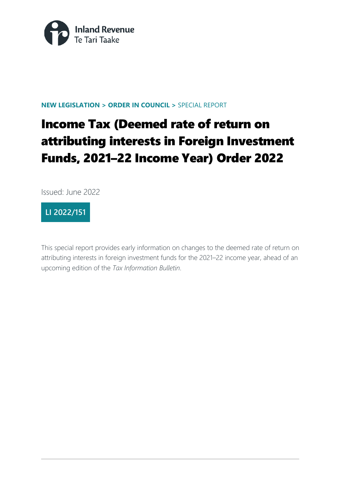

#### **NEW LEGISLATION > ORDER IN COUNCIL >** SPECIAL REPORT

# Income Tax (Deemed rate of return on attributing interests in Foreign Investment Funds, 2021–22 Income Year) Order 2022

Issued: June 2022

# **LI 2022/151**

This special report provides early information on changes to the deemed rate of return on attributing interests in foreign investment funds for the 2021–22 income year, ahead of an upcoming edition of the *Tax Information Bulletin*.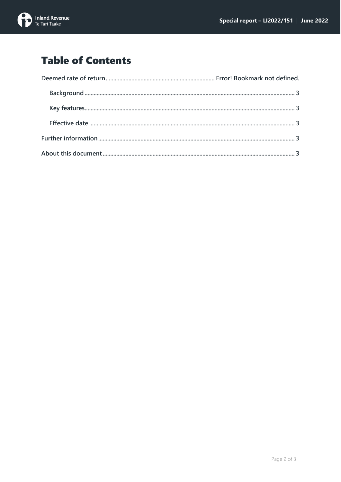

# **Table of Contents**